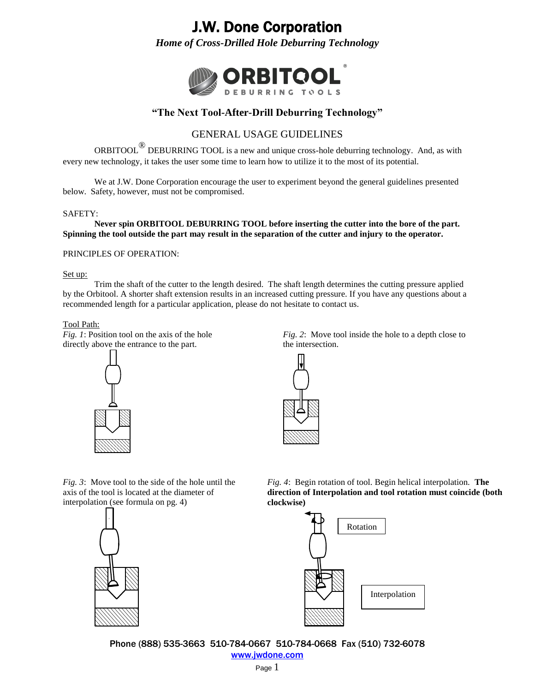*Home of Cross-Drilled Hole Deburring Technology*



### **"The Next Tool-After-Drill Deburring Technology"**

### GENERAL USAGE GUIDELINES

ORBITOOL<sup>®</sup> DEBURRING TOOL is a new and unique cross-hole deburring technology. And, as with every new technology, it takes the user some time to learn how to utilize it to the most of its potential.

We at J.W. Done Corporation encourage the user to experiment beyond the general guidelines presented below. Safety, however, must not be compromised.

### SAFETY:

**Never spin ORBITOOL DEBURRING TOOL before inserting the cutter into the bore of the part. Spinning the tool outside the part may result in the separation of the cutter and injury to the operator.**

### PRINCIPLES OF OPERATION:

#### Set up:

Trim the shaft of the cutter to the length desired. The shaft length determines the cutting pressure applied by the Orbitool. A shorter shaft extension results in an increased cutting pressure. If you have any questions about a recommended length for a particular application, please do not hesitate to contact us.

#### Tool Path:

*Fig. 1*: Position tool on the axis of the hole directly above the entrance to the part.



*Fig. 2*: Move tool inside the hole to a depth close to the intersection.



*Fig. 3*: Move tool to the side of the hole until the axis of the tool is located at the diameter of interpolation (see formula on pg. 4)



*Fig. 4*: Begin rotation of tool. Begin helical interpolation. **The direction of Interpolation and tool rotation must coincide (both clockwise)**



Phone (888) 535-3663 510-784-0667 510-784-0668 Fax (510) 732-6078 [www.jwdone.com](http://www.jwdone.com/)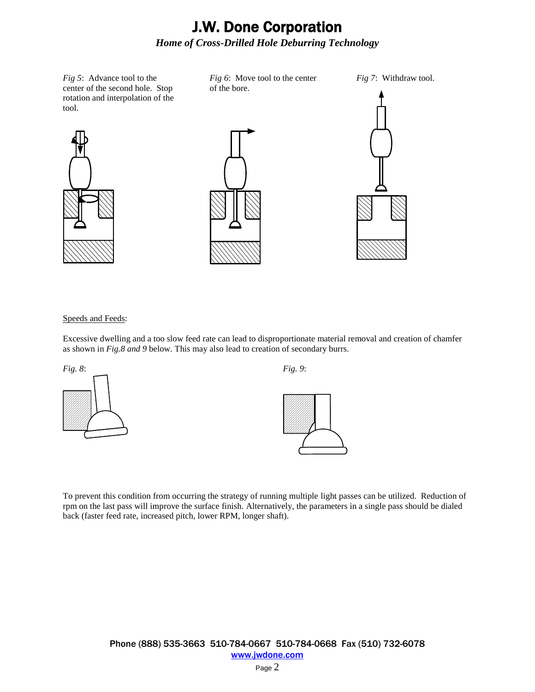*Fig 6*: Move tool to the center

*Fig 5*: Advance tool to the center of the second hole. Stop rotation and interpolation of the tool.



of the bore.

*Fig 7*: Withdraw tool.



### Speeds and Feeds:

Excessive dwelling and a too slow feed rate can lead to disproportionate material removal and creation of chamfer as shown in *Fig.8 and 9* below. This may also lead to creation of secondary burrs.





To prevent this condition from occurring the strategy of running multiple light passes can be utilized. Reduction of rpm on the last pass will improve the surface finish. Alternatively, the parameters in a single pass should be dialed back (faster feed rate, increased pitch, lower RPM, longer shaft).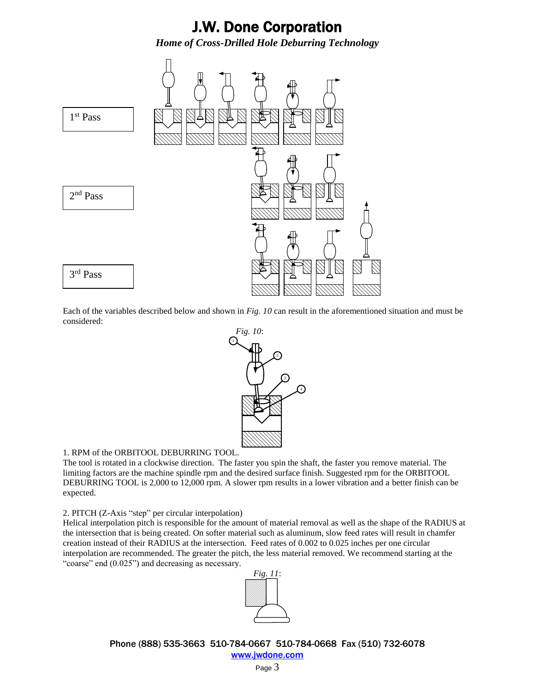

Each of the variables described below and shown in *Fig. 10* can result in the aforementioned situation and must be considered:



4

### 1. RPM of the ORBITOOL DEBURRING TOOL.

The tool is rotated in a clockwise direction. The faster you spin the shaft, the faster you remove material. The limiting factors are the machine spindle rpm and the desired surface finish. Suggested rpm for the ORBITOOL DEBURRING TOOL is 2,000 to 12,000 rpm. A slower rpm results in a lower vibration and a better finish can be expected.

### 2. PITCH (Z-Axis "step" per circular interpolation)

Helical interpolation pitch is responsible for the amount of material removal as well as the shape of the RADIUS at the intersection that is being created. On softer material such as aluminum, slow feed rates will result in chamfer creation instead of their RADIUS at the intersection. Feed rates of 0.002 to 0.025 inches per one circular interpolation are recommended. The greater the pitch, the less material removed. We recommend starting at the "coarse" end  $(0.025)$ " and decreasing as necessary.



Phone (888) 535-3663 510-784-0667 510-784-0668 Fax (510) 732-6078 [www.jwdone.com](http://www.jwdone.com/)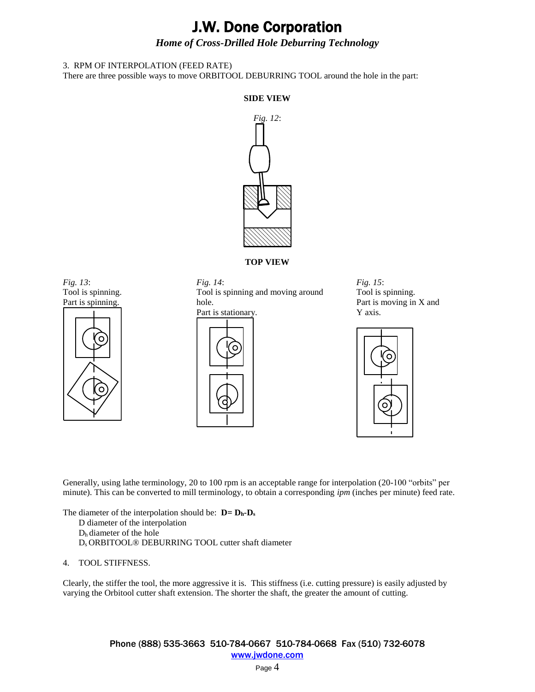### *Home of Cross-Drilled Hole Deburring Technology*

### 3. RPM OF INTERPOLATION (FEED RATE)

There are three possible ways to move ORBITOOL DEBURRING TOOL around the hole in the part:

### **SIDE VIEW**



**TOP VIEW**





### *Fig. 14*:

Tool is spinning and moving around hole.



*Fig. 15*: Tool is spinning. Part is moving in X and Y axis.



Generally, using lathe terminology, 20 to 100 rpm is an acceptable range for interpolation (20-100 "orbits" per minute). This can be converted to mill terminology, to obtain a corresponding *ipm* (inches per minute) feed rate.

The diameter of the interpolation should be: **D= Dh-D<sup>s</sup>** D diameter of the interpolation Dh diameter of the hole Ds ORBITOOL® DEBURRING TOOL cutter shaft diameter

#### 4. TOOL STIFFNESS.

Clearly, the stiffer the tool, the more aggressive it is. This stiffness (i.e. cutting pressure) is easily adjusted by varying the Orbitool cutter shaft extension. The shorter the shaft, the greater the amount of cutting.

> Phone (888) 535-3663 510-784-0667 510-784-0668 Fax (510) 732-6078 [www.jwdone.com](http://www.jwdone.com/)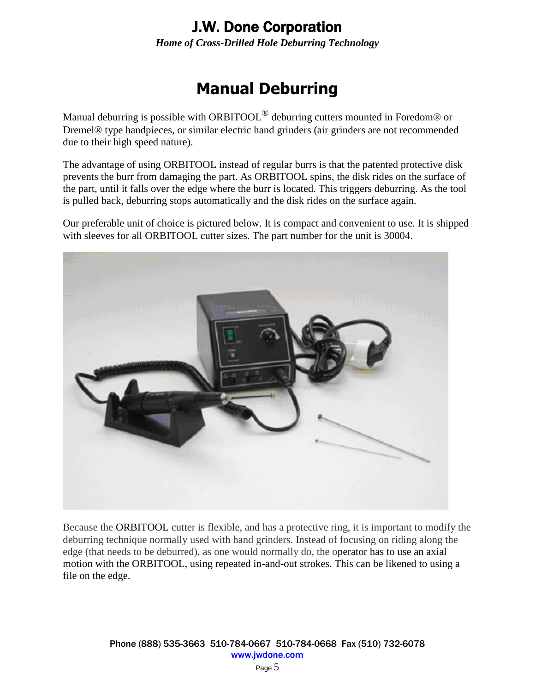*Home of Cross-Drilled Hole Deburring Technology*

# **Manual Deburring**

Manual deburring is possible with ORBITOOL<sup>®</sup> deburring cutters mounted in Foredom<sup>®</sup> or Dremel® type handpieces, or similar electric hand grinders (air grinders are not recommended due to their high speed nature).

The advantage of using ORBITOOL instead of regular burrs is that the patented protective disk prevents the burr from damaging the part. As ORBITOOL spins, the disk rides on the surface of the part, until it falls over the edge where the burr is located. This triggers deburring. As the tool is pulled back, deburring stops automatically and the disk rides on the surface again.

Our preferable unit of choice is pictured below. It is compact and convenient to use. It is shipped with sleeves for all ORBITOOL cutter sizes. The part number for the unit is 30004.



Because the ORBITOOL cutter is flexible, and has a protective ring, it is important to modify the deburring technique normally used with hand grinders. Instead of focusing on riding along the edge (that needs to be deburred), as one would normally do, the operator has to use an axial motion with the ORBITOOL, using repeated in-and-out strokes. This can be likened to using a file on the edge.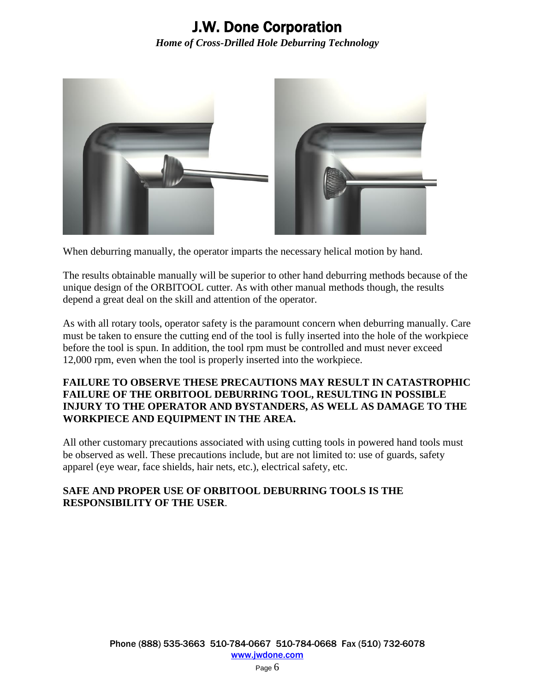

When deburring manually, the operator imparts the necessary helical motion by hand.

The results obtainable manually will be superior to other hand deburring methods because of the unique design of the ORBITOOL cutter. As with other manual methods though, the results depend a great deal on the skill and attention of the operator.

As with all rotary tools, operator safety is the paramount concern when deburring manually. Care must be taken to ensure the cutting end of the tool is fully inserted into the hole of the workpiece before the tool is spun. In addition, the tool rpm must be controlled and must never exceed 12,000 rpm, even when the tool is properly inserted into the workpiece.

### **FAILURE TO OBSERVE THESE PRECAUTIONS MAY RESULT IN CATASTROPHIC FAILURE OF THE ORBITOOL DEBURRING TOOL, RESULTING IN POSSIBLE INJURY TO THE OPERATOR AND BYSTANDERS, AS WELL AS DAMAGE TO THE WORKPIECE AND EQUIPMENT IN THE AREA.**

All other customary precautions associated with using cutting tools in powered hand tools must be observed as well. These precautions include, but are not limited to: use of guards, safety apparel (eye wear, face shields, hair nets, etc.), electrical safety, etc.

### **SAFE AND PROPER USE OF ORBITOOL DEBURRING TOOLS IS THE RESPONSIBILITY OF THE USER**.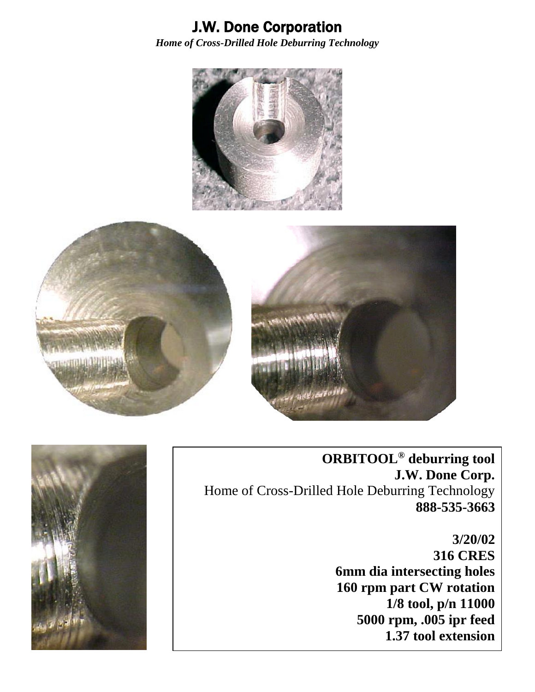





**ORBITOOL® deburring tool J.W. Done Corp.** Home of Cross-Drilled Hole Deburring Technology **888-535-3663**

# **3/20/02 316 CRES 6mm dia intersecting holes 160 rpm part CW rotation 1/8 tool, p/n 11000 5000 rpm, .005 ipr feed 1.37 tool extension**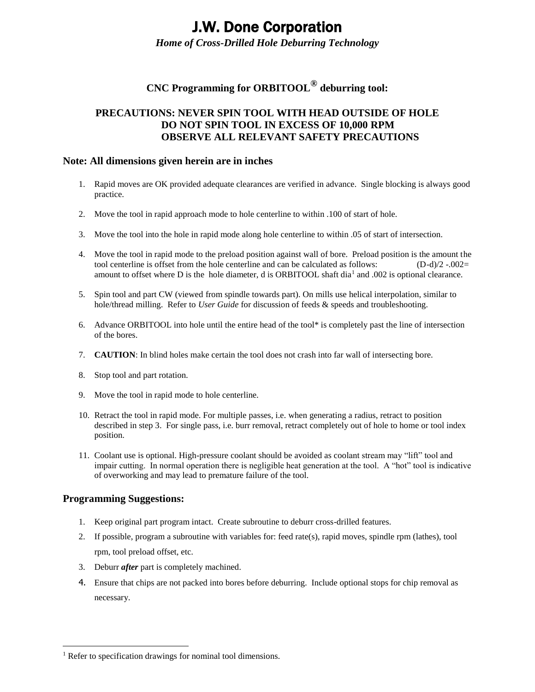*Home of Cross-Drilled Hole Deburring Technology*

### **CNC Programming for ORBITOOL® deburring tool:**

### **PRECAUTIONS: NEVER SPIN TOOL WITH HEAD OUTSIDE OF HOLE DO NOT SPIN TOOL IN EXCESS OF 10,000 RPM OBSERVE ALL RELEVANT SAFETY PRECAUTIONS**

### **Note: All dimensions given herein are in inches**

- 1. Rapid moves are OK provided adequate clearances are verified in advance. Single blocking is always good practice.
- 2. Move the tool in rapid approach mode to hole centerline to within .100 of start of hole.
- 3. Move the tool into the hole in rapid mode along hole centerline to within .05 of start of intersection.
- 4. Move the tool in rapid mode to the preload position against wall of bore. Preload position is the amount the tool centerline is offset from the hole centerline and can be calculated as follows: (D-d)/2 -.002= amount to offset where D is the hole diameter, d is ORBITOOL shaft dia<sup>1</sup> and .002 is optional clearance.
- 5. Spin tool and part CW (viewed from spindle towards part). On mills use helical interpolation, similar to hole/thread milling. Refer to *User Guide* for discussion of feeds & speeds and troubleshooting.
- 6. Advance ORBITOOL into hole until the entire head of the tool\* is completely past the line of intersection of the bores.
- 7. **CAUTION**: In blind holes make certain the tool does not crash into far wall of intersecting bore.
- 8. Stop tool and part rotation.
- 9. Move the tool in rapid mode to hole centerline.
- 10. Retract the tool in rapid mode. For multiple passes, i.e. when generating a radius, retract to position described in step 3. For single pass, i.e. burr removal, retract completely out of hole to home or tool index position.
- 11. Coolant use is optional. High-pressure coolant should be avoided as coolant stream may "lift" tool and impair cutting. In normal operation there is negligible heat generation at the tool. A "hot" tool is indicative of overworking and may lead to premature failure of the tool.

### **Programming Suggestions:**

 $\overline{a}$ 

- 1. Keep original part program intact. Create subroutine to deburr cross-drilled features.
- 2. If possible, program a subroutine with variables for: feed rate(s), rapid moves, spindle rpm (lathes), tool rpm, tool preload offset, etc.
- 3. Deburr *after* part is completely machined.
- 4. Ensure that chips are not packed into bores before deburring. Include optional stops for chip removal as necessary.

<sup>&</sup>lt;sup>1</sup> Refer to specification drawings for nominal tool dimensions.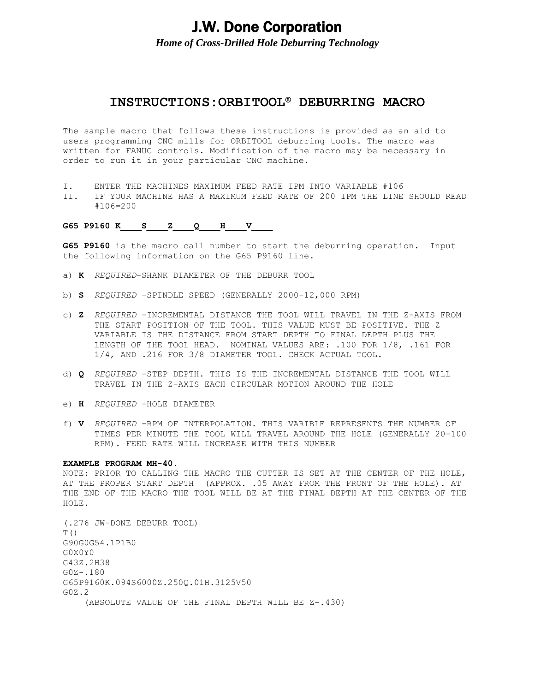*Home of Cross-Drilled Hole Deburring Technology*

### **INSTRUCTIONS:ORBITOOL® DEBURRING MACRO**

The sample macro that follows these instructions is provided as an aid to users programming CNC mills for ORBITOOL deburring tools. The macro was written for FANUC controls. Modification of the macro may be necessary in order to run it in your particular CNC machine.

- I. ENTER THE MACHINES MAXIMUM FEED RATE IPM INTO VARIABLE #106
- II. IF YOUR MACHINE HAS A MAXIMUM FEED RATE OF 200 IPM THE LINE SHOULD READ #106=200

G65 P9160 K S Z Q H V

**G65 P9160** is the macro call number to start the deburring operation. Input the following information on the G65 P9160 line.

- a) **K** *REQUIRED*-SHANK DIAMETER OF THE DEBURR TOOL
- b) **S** *REQUIRED* -SPINDLE SPEED (GENERALLY 2000-12,000 RPM)
- c) **Z** *REQUIRED* -INCREMENTAL DISTANCE THE TOOL WILL TRAVEL IN THE Z-AXIS FROM THE START POSITION OF THE TOOL. THIS VALUE MUST BE POSITIVE. THE Z VARIABLE IS THE DISTANCE FROM START DEPTH TO FINAL DEPTH PLUS THE LENGTH OF THE TOOL HEAD. NOMINAL VALUES ARE: .100 FOR 1/8, .161 FOR 1/4, AND .216 FOR 3/8 DIAMETER TOOL. CHECK ACTUAL TOOL.
- d) **Q** *REQUIRED* -STEP DEPTH. THIS IS THE INCREMENTAL DISTANCE THE TOOL WILL TRAVEL IN THE Z-AXIS EACH CIRCULAR MOTION AROUND THE HOLE
- e) **H** *REQUIRED* -HOLE DIAMETER
- f) **V** *REQUIRED* -RPM OF INTERPOLATION. THIS VARIBLE REPRESENTS THE NUMBER OF TIMES PER MINUTE THE TOOL WILL TRAVEL AROUND THE HOLE (GENERALLY 20-100 RPM). FEED RATE WILL INCREASE WITH THIS NUMBER

#### **EXAMPLE PROGRAM MH-40.**

NOTE: PRIOR TO CALLING THE MACRO THE CUTTER IS SET AT THE CENTER OF THE HOLE, AT THE PROPER START DEPTH (APPROX. .05 AWAY FROM THE FRONT OF THE HOLE). AT THE END OF THE MACRO THE TOOL WILL BE AT THE FINAL DEPTH AT THE CENTER OF THE HOLE.

(.276 JW-DONE DEBURR TOOL) T() G90G0G54.1P1B0 G0X0Y0 G43Z.2H38 G0Z-.180 G65P9160K.094S6000Z.250Q.01H.3125V50 G0Z.2 (ABSOLUTE VALUE OF THE FINAL DEPTH WILL BE Z-.430)